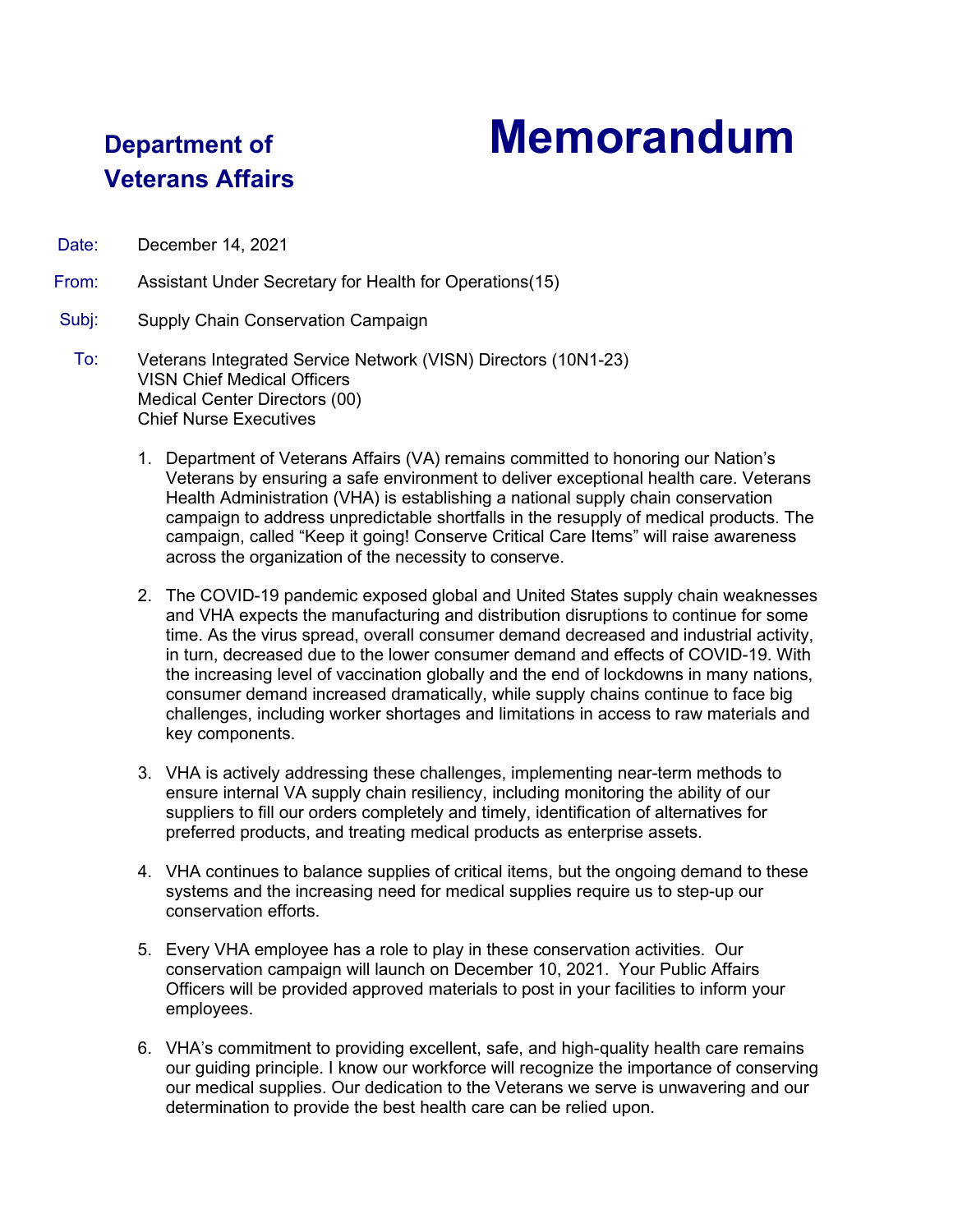## **Department of Memorandum**

## **Veterans Affairs**

Date: December 14, 2021

From: Assistant Under Secretary for Health for Operations(15)

## Subj: Supply Chain Conservation Campaign

- To: Veterans Integrated Service Network (VISN) Directors (10N1-23) VISN Chief Medical Officers Medical Center Directors (00) Chief Nurse Executives
	- 1. Department of Veterans Affairs (VA) remains committed to honoring our Nation's Veterans by ensuring a safe environment to deliver exceptional health care. Veterans Health Administration (VHA) is establishing a national supply chain conservation campaign to address unpredictable shortfalls in the resupply of medical products. The campaign, called "Keep it going! Conserve Critical Care Items" will raise awareness across the organization of the necessity to conserve.
	- 2. The COVID-19 pandemic exposed global and United States supply chain weaknesses and VHA expects the manufacturing and distribution disruptions to continue for some time. As the virus spread, overall consumer demand decreased and industrial activity, in turn, decreased due to the lower consumer demand and effects of COVID-19. With the increasing level of vaccination globally and the end of lockdowns in many nations, consumer demand increased dramatically, while supply chains continue to face big challenges, including worker shortages and limitations in access to raw materials and key components.
	- 3. VHA is actively addressing these challenges, implementing near-term methods to ensure internal VA supply chain resiliency, including monitoring the ability of our suppliers to fill our orders completely and timely, identification of alternatives for preferred products, and treating medical products as enterprise assets.
	- 4. VHA continues to balance supplies of critical items, but the ongoing demand to these systems and the increasing need for medical supplies require us to step-up our conservation efforts.
	- 5. Every VHA employee has a role to play in these conservation activities. Our conservation campaign will launch on December 10, 2021. Your Public Affairs Officers will be provided approved materials to post in your facilities to inform your employees.
	- 6. VHA's commitment to providing excellent, safe, and high-quality health care remains our guiding principle. I know our workforce will recognize the importance of conserving our medical supplies. Our dedication to the Veterans we serve is unwavering and our determination to provide the best health care can be relied upon.